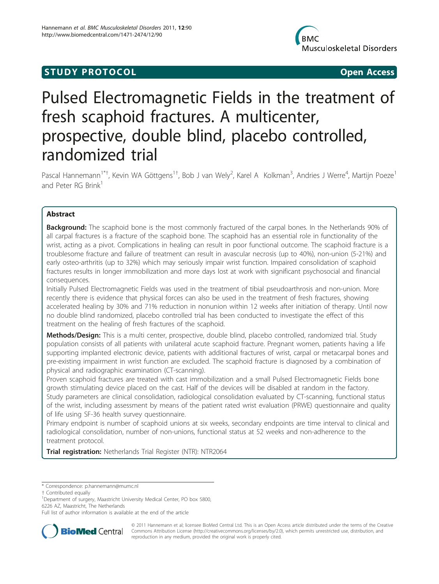# **STUDY PROTOCOL** And the state of the state of the state of the state of the state of the state of the state of the state of the state of the state of the state of the state of the state of the state of the state of the st



# Pulsed Electromagnetic Fields in the treatment of fresh scaphoid fractures. A multicenter, prospective, double blind, placebo controlled, randomized trial

Pascal Hannemann<sup>1\*†</sup>, Kevin WA Göttgens<sup>1†</sup>, Bob J van Wely<sup>2</sup>, Karel A Kolkman<sup>3</sup>, Andries J Werre<sup>4</sup>, Martijn Poeze<sup>1</sup> and Peter RG Brink<sup>1</sup>

# Abstract

**Background:** The scaphoid bone is the most commonly fractured of the carpal bones. In the Netherlands 90% of all carpal fractures is a fracture of the scaphoid bone. The scaphoid has an essential role in functionality of the wrist, acting as a pivot. Complications in healing can result in poor functional outcome. The scaphoid fracture is a troublesome fracture and failure of treatment can result in avascular necrosis (up to 40%), non-union (5-21%) and early osteo-arthritis (up to 32%) which may seriously impair wrist function. Impaired consolidation of scaphoid fractures results in longer immobilization and more days lost at work with significant psychosocial and financial consequences.

Initially Pulsed Electromagnetic Fields was used in the treatment of tibial pseudoarthrosis and non-union. More recently there is evidence that physical forces can also be used in the treatment of fresh fractures, showing accelerated healing by 30% and 71% reduction in nonunion within 12 weeks after initiation of therapy. Until now no double blind randomized, placebo controlled trial has been conducted to investigate the effect of this treatment on the healing of fresh fractures of the scaphoid.

Methods/Design: This is a multi center, prospective, double blind, placebo controlled, randomized trial. Study population consists of all patients with unilateral acute scaphoid fracture. Pregnant women, patients having a life supporting implanted electronic device, patients with additional fractures of wrist, carpal or metacarpal bones and pre-existing impairment in wrist function are excluded. The scaphoid fracture is diagnosed by a combination of physical and radiographic examination (CT-scanning).

Proven scaphoid fractures are treated with cast immobilization and a small Pulsed Electromagnetic Fields bone growth stimulating device placed on the cast. Half of the devices will be disabled at random in the factory. Study parameters are clinical consolidation, radiological consolidation evaluated by CT-scanning, functional status of the wrist, including assessment by means of the patient rated wrist evaluation (PRWE) questionnaire and quality of life using SF-36 health survey questionnaire.

Primary endpoint is number of scaphoid unions at six weeks, secondary endpoints are time interval to clinical and radiological consolidation, number of non-unions, functional status at 52 weeks and non-adherence to the treatment protocol.

Trial registration: Netherlands Trial Register (NTR): [NTR2064](http://www.trialregister.nl/trialreg/admin/rctview.asp?TC=2064)

\* Correspondence: [p.hannemann@mumc.nl](mailto:p.hannemann@mumc.nl)

† Contributed equally <sup>1</sup>

<sup>1</sup>Department of surgery, Maastricht University Medical Center, PO box 5800, 6226 AZ, Maastricht, The Netherlands

Full list of author information is available at the end of the article



© 2011 Hannemann et al; licensee BioMed Central Ltd. This is an Open Access article distributed under the terms of the Creative Commons Attribution License [\(http://creativecommons.org/licenses/by/2.0](http://creativecommons.org/licenses/by/2.0)), which permits unrestricted use, distribution, and reproduction in any medium, provided the original work is properly cited.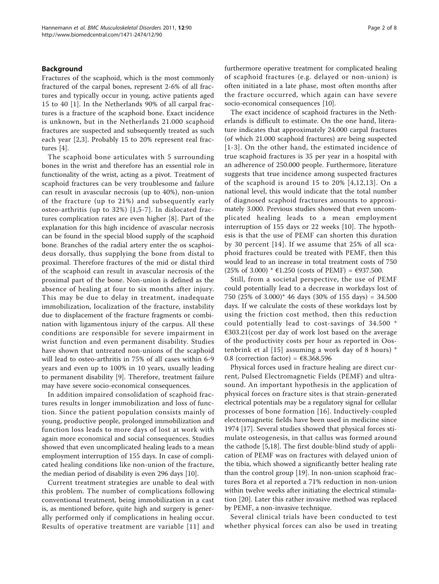# Background

Fractures of the scaphoid, which is the most commonly fractured of the carpal bones, represent 2-6% of all fractures and typically occur in young, active patients aged 15 to 40 [[1](#page-6-0)]. In the Netherlands 90% of all carpal fractures is a fracture of the scaphoid bone. Exact incidence is unknown, but in the Netherlands 21.000 scaphoid fractures are suspected and subsequently treated as such each year [[2,3](#page-6-0)]. Probably 15 to 20% represent real fractures [\[4](#page-6-0)].

The scaphoid bone articulates with 5 surrounding bones in the wrist and therefore has an essential role in functionality of the wrist, acting as a pivot. Treatment of scaphoid fractures can be very troublesome and failure can result in avascular necrosis (up to 40%), non-union of the fracture (up to 21%) and subsequently early osteo-arthritis (up to 32%) [[1,5-7\]](#page-6-0). In dislocated fractures complication rates are even higher [[8\]](#page-6-0). Part of the explanation for this high incidence of avascular necrosis can be found in the special blood supply of the scaphoid bone. Branches of the radial artery enter the os scaphoideus dorsally, thus supplying the bone from distal to proximal. Therefore fractures of the mid or distal third of the scaphoid can result in avascular necrosis of the proximal part of the bone. Non-union is defined as the absence of healing at four to six months after injury. This may be due to delay in treatment, inadequate immobilization, localization of the fracture, instability due to displacement of the fracture fragments or combination with ligamentous injury of the carpus. All these conditions are responsible for severe impairment in wrist function and even permanent disability. Studies have shown that untreated non-unions of the scaphoid will lead to osteo-arthritis in 75% of all cases within 6-9 years and even up to 100% in 10 years, usually leading to permanent disability [\[9](#page-6-0)]. Therefore, treatment failure may have severe socio-economical consequences.

In addition impaired consolidation of scaphoid fractures results in longer immobilization and loss of function. Since the patient population consists mainly of young, productive people, prolonged immobilization and function loss leads to more days of lost at work with again more economical and social consequences. Studies showed that even uncomplicated healing leads to a mean employment interruption of 155 days. In case of complicated healing conditions like non-union of the fracture, the median period of disability is even 296 days [[10](#page-6-0)].

Current treatment strategies are unable to deal with this problem. The number of complications following conventional treatment, being immobilization in a cast is, as mentioned before, quite high and surgery is generally performed only if complications in healing occur. Results of operative treatment are variable [[11](#page-6-0)] and furthermore operative treatment for complicated healing of scaphoid fractures (e.g. delayed or non-union) is often initiated in a late phase, most often months after the fracture occurred, which again can have severe socio-economical consequences [[10\]](#page-6-0).

The exact incidence of scaphoid fractures in the Netherlands is difficult to estimate. On the one hand, literature indicates that approximately 24.000 carpal fractures (of which 21.000 scaphoid fractures) are being suspected [[1-3\]](#page-6-0). On the other hand, the estimated incidence of true scaphoid fractures is 35 per year in a hospital with an adherence of 250.000 people. Furthermore, literature suggests that true incidence among suspected fractures of the scaphoid is around 15 to 20% [[4,12,13\]](#page-6-0). On a national level, this would indicate that the total number of diagnosed scaphoid fractures amounts to approximately 3.000. Previous studies showed that even uncomplicated healing leads to a mean employment interruption of 155 days or 22 weeks [\[10](#page-6-0)]. The hypothesis is that the use of PEMF can shorten this duration by 30 percent [[14\]](#page-6-0). If we assume that 25% of all scaphoid fractures could be treated with PEMF, then this would lead to an increase in total treatment costs of 750  $(25\% \text{ of } 3.000) * \text{\textsterling}1.250 \text{ (costs of PEMF)} = \text{\textsterling}937.500.$ 

Still, from a societal perspective, the use of PEMF could potentially lead to a decrease in workdays lost of 750 (25% of 3.000)\* 46 days (30% of 155 days) = 34.500 days. If we calculate the costs of these workdays lost by using the friction cost method, then this reduction could potentially lead to cost-savings of 34.500 \*  $€303.21$ (cost per day of work lost based on the average of the productivity costs per hour as reported in Oostenbrink et al [[15](#page-6-0)] assuming a work day of 8 hours) \* 0.8 (correction factor) =  $€8.368.596$ 

Physical forces used in fracture healing are direct current, Pulsed Electromagnetic Fields (PEMF) and ultrasound. An important hypothesis in the application of physical forces on fracture sites is that strain-generated electrical potentials may be a regulatory signal for cellular processes of bone formation [[16](#page-6-0)]. Inductively-coupled electromagnetic fields have been used in medicine since 1974 [\[17](#page-6-0)]. Several studies showed that physical forces stimulate osteogenesis, in that callus was formed around the cathode [\[5,18](#page-6-0)]. The first double-blind study of application of PEMF was on fractures with delayed union of the tibia, which showed a significantly better healing rate than the control group [\[19](#page-6-0)]. In non-union scaphoid fractures Bora et al reported a 71% reduction in non-union within twelve weeks after initiating the electrical stimulation [\[20](#page-6-0)]. Later this rather invasive method was replaced by PEMF, a non-invasive technique.

Several clinical trials have been conducted to test whether physical forces can also be used in treating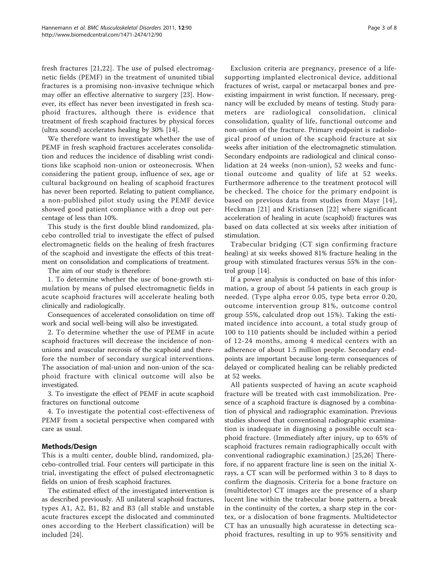fresh fractures [[21](#page-6-0),[22\]](#page-6-0). The use of pulsed electromagnetic fields (PEMF) in the treatment of ununited tibial fractures is a promising non-invasive technique which may offer an effective alternative to surgery [\[23](#page-6-0)]. However, its effect has never been investigated in fresh scaphoid fractures, although there is evidence that treatment of fresh scaphoid fractures by physical forces (ultra sound) accelerates healing by 30% [\[14](#page-6-0)].

We therefore want to investigate whether the use of PEMF in fresh scaphoid fractures accelerates consolidation and reduces the incidence of disabling wrist conditions like scaphoid non-union or osteonecrosis. When considering the patient group, influence of sex, age or cultural background on healing of scaphoid fractures has never been reported. Relating to patient compliance, a non-published pilot study using the PEMF device showed good patient compliance with a drop out percentage of less than 10%.

This study is the first double blind randomized, placebo controlled trial to investigate the effect of pulsed electromagnetic fields on the healing of fresh fractures of the scaphoid and investigate the effects of this treatment on consolidation and complications of treatment.

The aim of our study is therefore:

1. To determine whether the use of bone-growth stimulation by means of pulsed electromagnetic fields in acute scaphoid fractures will accelerate healing both clinically and radiologically.

Consequences of accelerated consolidation on time off work and social well-being will also be investigated.

2. To determine whether the use of PEMF in acute scaphoid fractures will decrease the incidence of nonunions and avascular necrosis of the scaphoid and therefore the number of secondary surgical interventions. The association of mal-union and non-union of the scaphoid fracture with clinical outcome will also be investigated.

3. To investigate the effect of PEMF in acute scaphoid fractures on functional outcome

4. To investigate the potential cost-effectiveness of PEMF from a societal perspective when compared with care as usual.

# Methods/Design

This is a multi center, double blind, randomized, placebo-controlled trial. Four centers will participate in this trial, investigating the effect of pulsed electromagnetic fields on union of fresh scaphoid fractures.

The estimated effect of the investigated intervention is as described previously. All unilateral scaphoid fractures, types A1, A2, B1, B2 and B3 (all stable and unstable acute fractures except the dislocated and comminuted ones according to the Herbert classification) will be included [[24\]](#page-6-0).

Exclusion criteria are pregnancy, presence of a lifesupporting implanted electronical device, additional fractures of wrist, carpal or metacarpal bones and preexisting impairment in wrist function. If necessary, pregnancy will be excluded by means of testing. Study parameters are radiological consolidation, clinical consolidation, quality of life, functional outcome and non-union of the fracture. Primary endpoint is radiological proof of union of the scaphoid fracture at six weeks after initiation of the electromagnetic stimulation. Secondary endpoints are radiological and clinical consolidation at 24 weeks (non-union), 52 weeks and functional outcome and quality of life at 52 weeks. Furthermore adherence to the treatment protocol will be checked. The choice for the primary endpoint is based on previous data from studies from Mayr [[14](#page-6-0)], Heckman [[21\]](#page-6-0) and Kristiansen [\[22\]](#page-6-0) where significant acceleration of healing in acute (scaphoid) fractures was based on data collected at six weeks after initiation of stimulation.

Trabecular bridging (CT sign confirming fracture healing) at six weeks showed 81% fracture healing in the group with stimulated fractures versus 55% in the control group [[14](#page-6-0)].

If a power analysis is conducted on base of this information, a group of about 54 patients in each group is needed. (Type alpha error 0.05, type beta error 0.20, outcome intervention group 81%, outcome control group 55%, calculated drop out 15%). Taking the estimated incidence into account, a total study group of 100 to 110 patients should be included within a period of 12-24 months, among 4 medical centers with an adherence of about 1.5 million people. Secondary endpoints are important because long-term consequences of delayed or complicated healing can be reliably predicted at 52 weeks.

All patients suspected of having an acute scaphoid fracture will be treated with cast immobilization. Presence of a scaphoid fracture is diagnosed by a combination of physical and radiographic examination. Previous studies showed that conventional radiographic examination is inadequate in diagnosing a possible occult scaphoid fracture. (Immediately after injury, up to 65% of scaphoid fractures remain radiographically occult with conventional radiographic examination.) [\[25](#page-6-0),[26\]](#page-6-0) Therefore, if no apparent fracture line is seen on the initial Xrays, a CT scan will be performed within 3 to 8 days to confirm the diagnosis. Criteria for a bone fracture on (multidetector) CT images are the presence of a sharp lucent line within the trabecular bone pattern, a break in the continuity of the cortex, a sharp step in the cortex, or a dislocation of bone fragments. Multidetector CT has an unusually high acuratesse in detecting scaphoid fractures, resulting in up to 95% sensitivity and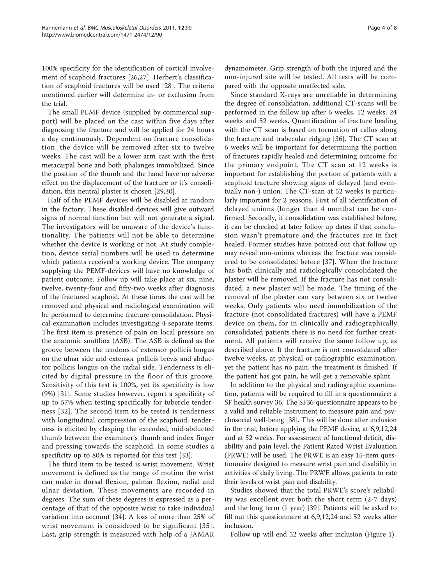100% specificity for the identification of cortical involvement of scaphoid fractures [[26,27](#page-6-0)]. Herbert's classification of scaphoid fractures will be used [\[28](#page-6-0)]. The criteria mentioned earlier will determine in- or exclusion from the trial.

The small PEMF device (supplied by commercial support) will be placed on the cast within five days after diagnosing the fracture and will be applied for 24 hours a day continuously. Dependent on fracture consolidation, the device will be removed after six to twelve weeks. The cast will be a lower arm cast with the first metacarpal bone and both phalanges immobilized. Since the position of the thumb and the hand have no adverse effect on the displacement of the fracture or it's consolidation, this neutral plaster is chosen [\[29,30](#page-6-0)].

Half of the PEMF devices will be disabled at random in the factory. These disabled devices will give outward signs of normal function but will not generate a signal. The investigators will be unaware of the device's functionality. The patients will not be able to determine whether the device is working or not. At study completion, device serial numbers will be used to determine which patients received a working device. The company supplying the PEMF-devices will have no knowledge of patient outcome. Follow up will take place at six, nine, twelve, twenty-four and fifty-two weeks after diagnosis of the fractured scaphoid. At these times the cast will be removed and physical and radiological examination will be performed to determine fracture consolidation. Physical examination includes investigating 4 separate items. The first item is presence of pain on local pressure on the anatomic snuffbox (ASB). The ASB is defined as the groove between the tendons of extensor pollicis longus on the ulnar side and extensor pollicis brevis and abductor pollicis longus on the radial side. Tenderness is elicited by digital pressure in the floor of this groove. Sensitivity of this test is 100%, yet its specificity is low (9%) [[31\]](#page-6-0). Some studies however, report a specificity of up to 57% when testing specifically for tubercle tenderness [[32](#page-6-0)]. The second item to be tested is tenderness with longitudinal compression of the scaphoid; tenderness is elicited by clasping the extended, mid-abducted thumb between the examiner's thumb and index finger and pressing towards the scaphoid. In some studies a specificity up to 80% is reported for this test [\[33\]](#page-6-0).

The third item to be tested is wrist movement. Wrist movement is defined as the range of motion the wrist can make in dorsal flexion, palmar flexion, radial and ulnar deviation. These movements are recorded in degrees. The sum of these degrees is expressed as a percentage of that of the opposite wrist to take individual variation into account [[34\]](#page-6-0). A loss of more than 25% of wrist movement is considered to be significant [[35\]](#page-6-0). Last, grip strength is measured with help of a JAMAR dynamometer. Grip strength of both the injured and the non-injured site will be tested. All tests will be compared with the opposite unaffected side.

Since standard X-rays are unreliable in determining the degree of consolidation, additional CT-scans will be performed in the follow up after 6 weeks, 12 weeks, 24 weeks and 52 weeks. Quantification of fracture healing with the CT scan is based on formation of callus along the fracture and trabecular ridging [[36\]](#page-6-0). The CT scan at 6 weeks will be important for determining the portion of fractures rapidly healed and determining outcome for the primary endpoint. The CT scan at 12 weeks is important for establishing the portion of patients with a scaphoid fracture showing signs of delayed (and eventually non-) union. The CT-scan at 52 weeks is particularly important for 2 reasons. First of all identification of delayed unions (longer than 4 months) can be confirmed. Secondly, if consolidation was established before, it can be checked at later follow up dates if that conclusion wasn't premature and the fractures are in fact healed. Former studies have pointed out that follow up may reveal non-unions whereas the fracture was considered to be consolidated before [[37](#page-6-0)]. When the fracture has both clinically and radiologically consolidated the plaster will be removed. If the fracture has not consolidated; a new plaster will be made. The timing of the removal of the plaster can vary between six or twelve weeks. Only patients who need immobilization of the fracture (not consolidated fractures) will have a PEMF device on them, for in clinically and radiographically consolidated patients there is no need for further treatment. All patients will receive the same follow up, as described above. If the fracture is not consolidated after twelve weeks, at physical or radiographic examination, yet the patient has no pain, the treatment is finished. If the patient has got pain, he will get a removable splint.

In addition to the physical and radiographic examination, patients will be required to fill in a questionnaire: a SF health survey 36. The SF36 questionnaire appears to be a valid and reliable instrument to measure pain and psychosocial well-being [\[38](#page-7-0)]. This will be done after inclusion in the trial, before applying the PEMF device, at 6,9,12,24 and at 52 weeks. For assessment of functional deficit, disability and pain level, the Patient Rated Wrist Evaluation (PRWE) will be used. The PRWE is an easy 15-item questionnaire designed to measure wrist pain and disability in activities of daily living. The PRWE allows patients to rate their levels of wrist pain and disability.

Studies showed that the total PRWE's score's reliability was excellent over both the short term (2-7 days) and the long term (1 year) [\[39](#page-7-0)]. Patients will be asked to fill out this questionnaire at 6,9,12,24 and 52 weeks after inclusion.

Follow up will end 52 weeks after inclusion (Figure [1\)](#page-4-0).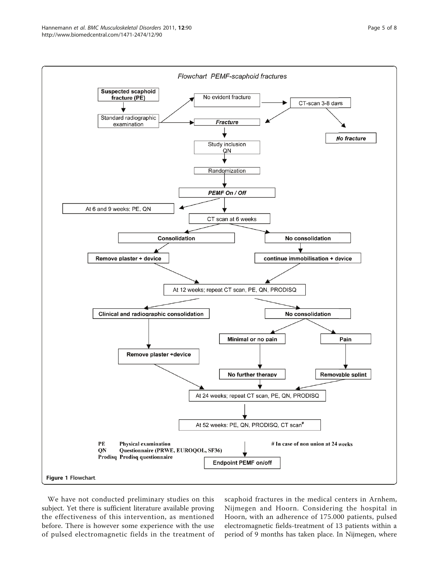<span id="page-4-0"></span>

We have not conducted preliminary studies on this subject. Yet there is sufficient literature available proving the effectiveness of this intervention, as mentioned before. There is however some experience with the use of pulsed electromagnetic fields in the treatment of

scaphoid fractures in the medical centers in Arnhem, Nijmegen and Hoorn. Considering the hospital in Hoorn, with an adherence of 175.000 patients, pulsed electromagnetic fields-treatment of 13 patients within a period of 9 months has taken place. In Nijmegen, where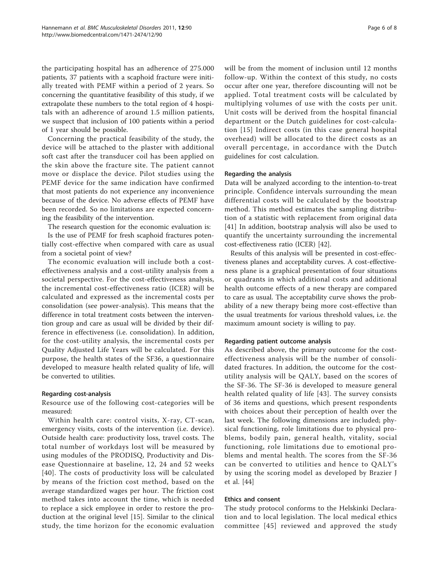the participating hospital has an adherence of 275.000 patients, 37 patients with a scaphoid fracture were initially treated with PEMF within a period of 2 years. So concerning the quantitative feasibility of this study, if we extrapolate these numbers to the total region of 4 hospitals with an adherence of around 1.5 million patients, we suspect that inclusion of 100 patients within a period of 1 year should be possible.

Concerning the practical feasibility of the study, the device will be attached to the plaster with additional soft cast after the transducer coil has been applied on the skin above the fracture site. The patient cannot move or displace the device. Pilot studies using the PEMF device for the same indication have confirmed that most patients do not experience any inconvenience because of the device. No adverse effects of PEMF have been recorded. So no limitations are expected concerning the feasibility of the intervention.

The research question for the economic evaluation is:

Is the use of PEMF for fresh scaphoid fractures potentially cost-effective when compared with care as usual from a societal point of view?

The economic evaluation will include both a costeffectiveness analysis and a cost-utility analysis from a societal perspective. For the cost-effectiveness analysis, the incremental cost-effectiveness ratio (ICER) will be calculated and expressed as the incremental costs per consolidation (see power-analysis). This means that the difference in total treatment costs between the intervention group and care as usual will be divided by their difference in effectiveness (i.e. consolidation). In addition, for the cost-utility analysis, the incremental costs per Quality Adjusted Life Years will be calculated. For this purpose, the health states of the SF36, a questionnaire developed to measure health related quality of life, will be converted to utilities.

# Regarding cost-analysis

Resource use of the following cost-categories will be measured:

Within health care: control visits, X-ray, CT-scan, emergency visits, costs of the intervention (i.e. device). Outside health care: productivity loss, travel costs. The total number of workdays lost will be measured by using modules of the PRODISQ, Productivity and Disease Questionnaire at baseline, 12, 24 and 52 weeks [[40](#page-7-0)]. The costs of productivity loss will be calculated by means of the friction cost method, based on the average standardized wages per hour. The friction cost method takes into account the time, which is needed to replace a sick employee in order to restore the production at the original level [[15\]](#page-6-0). Similar to the clinical study, the time horizon for the economic evaluation will be from the moment of inclusion until 12 months follow-up. Within the context of this study, no costs occur after one year, therefore discounting will not be applied. Total treatment costs will be calculated by multiplying volumes of use with the costs per unit. Unit costs will be derived from the hospital financial department or the Dutch guidelines for cost-calculation [\[15\]](#page-6-0) Indirect costs (in this case general hospital overhead) will be allocated to the direct costs as an overall percentage, in accordance with the Dutch guidelines for cost calculation.

## Regarding the analysis

Data will be analyzed according to the intention-to-treat principle. Confidence intervals surrounding the mean differential costs will be calculated by the bootstrap method. This method estimates the sampling distribution of a statistic with replacement from original data [[41](#page-7-0)] In addition, bootstrap analysis will also be used to quantify the uncertainty surrounding the incremental cost-effectiveness ratio (ICER) [[42](#page-7-0)].

Results of this analysis will be presented in cost-effectiveness planes and acceptability curves. A cost-effectiveness plane is a graphical presentation of four situations or quadrants in which additional costs and additional health outcome effects of a new therapy are compared to care as usual. The acceptability curve shows the probability of a new therapy being more cost-effective than the usual treatments for various threshold values, i.e. the maximum amount society is willing to pay.

## Regarding patient outcome analysis

As described above, the primary outcome for the costeffectiveness analysis will be the number of consolidated fractures. In addition, the outcome for the costutility analysis will be QALY, based on the scores of the SF-36. The SF-36 is developed to measure general health related quality of life [\[43\]](#page-7-0). The survey consists of 36 items and questions, which present respondents with choices about their perception of health over the last week. The following dimensions are included; physical functioning, role limitations due to physical problems, bodily pain, general health, vitality, social functioning, role limitations due to emotional problems and mental health. The scores from the SF-36 can be converted to utilities and hence to QALY's by using the scoring model as developed by Brazier J et al. [[44\]](#page-7-0)

## Ethics and consent

The study protocol conforms to the Helskinki Declaration and to local legislation. The local medical ethics committee [[45](#page-7-0)] reviewed and approved the study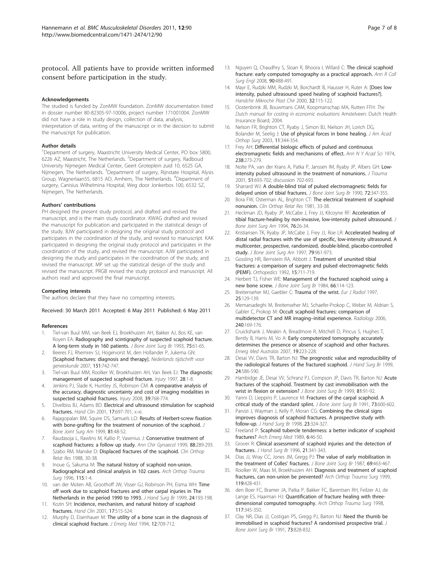# <span id="page-6-0"></span>protocol. All patients have to provide written informed consent before participation in the study.

#### Acknowledgements

The studied is funded by ZonMW foundation. ZonMW documentation listed in dossier number 80-82305-97-10006, project number 171001004. ZonMW did not have a role in study design, collection of data, analysis, interpretation of data, writing of the manuscript or in the decision to submit the manuscript for publication.

#### Author details

<sup>1</sup>Department of surgery, Maastricht University Medical Center, PO box 5800, 6226 AZ, Maastricht, The Netherlands. <sup>2</sup>Department of surgery, Radboud University Nijmegen Medical Center, Geert Groteplein zuid 10, 6525 GA, Nijmegen, The Netherlands. <sup>3</sup>Department of surgery, Rijnstate Hospital, Alysis Group, Wagnerlaan55, 6815 AD, Arnhem, The Netherlands. <sup>4</sup>Department of surgery, Canisius Wilhelmina Hospital, Weg door Jonkerbos 100, 6532 SZ, Nijmegen, The Netherlands.

#### Authors' contributions

PH designed the present study protocol, and drafted and revised the manuscript, and is the main study coordinator. KWAG drafted and revised the manuscript for publication and participated in the statistical design of the study. BJW participated in designing the original study protocol and participates in the coordination of the study, and revised to manuscript. KAK participated in designing the original study protocol and participates in the coordination of the study, and revised the manuscript. AJW participated in designing the study and participates in the coordination of the study, and revised the manuscript. MP set up the statistical design of the study and revised the manuscript. PRGB revised the study protocol and manuscript. All authors read and approved the final manuscript.

#### Competing interests

The authors declare that they have no competing interests.

#### Received: 30 March 2011 Accepted: 6 May 2011 Published: 6 May 2011

#### References

- 1. Tiel-van Buul MM, van Beek EJ, Broekhuizen AH, Bakker AJ, Bos KE, van Royen EA: [Radiography and scintigraphy of suspected scaphoid fracture.](http://www.ncbi.nlm.nih.gov/pubmed/8421037?dopt=Abstract) [A long-term study in 160 patients.](http://www.ncbi.nlm.nih.gov/pubmed/8421037?dopt=Abstract) J Bone Joint Surg Br 1993, 75:61-65.
- 2. Beeres FJ, Rhemrev SJ, Hogervorst M, den Hollander P, Jukema GN: [\[Scaphoid fractures: diagnosis and therapy\].](http://www.ncbi.nlm.nih.gov/pubmed/17471775?dopt=Abstract) Nederlands tijdschrift voor geneeskunde 2007, 151:742-747.
- 3. Tiel-van Buul MM, Roolker W, Broekhuizen AH, Van Beek EJ: [The diagnostic](http://www.ncbi.nlm.nih.gov/pubmed/9196618?dopt=Abstract) [management of suspected scaphoid fracture.](http://www.ncbi.nlm.nih.gov/pubmed/9196618?dopt=Abstract) Injury 1997, 28:1-8.
- Jenkins PJ, Slade K, Huntley JS, Robinson CM: [A comparative analysis of](http://www.ncbi.nlm.nih.gov/pubmed/18541243?dopt=Abstract) [the accuracy, diagnostic uncertainty and cost of imaging modalities in](http://www.ncbi.nlm.nih.gov/pubmed/18541243?dopt=Abstract) [suspected scaphoid fractures.](http://www.ncbi.nlm.nih.gov/pubmed/18541243?dopt=Abstract) *Injury* 2008, 39:768-774.
- 5. Divelbiss BJ, Adams BD: [Electrical and ultrasound stimulation for scaphoid](http://www.ncbi.nlm.nih.gov/pubmed/11775480?dopt=Abstract) [fractures.](http://www.ncbi.nlm.nih.gov/pubmed/11775480?dopt=Abstract) Hand Clin 2001, 17:697-701, x-xi.
- Rajagopalan BM, Squire DS, Samuels LO: [Results of Herbert-screw fixation](http://www.ncbi.nlm.nih.gov/pubmed/9973053?dopt=Abstract) [with bone-grafting for the treatment of nonunion of the scaphoid.](http://www.ncbi.nlm.nih.gov/pubmed/9973053?dopt=Abstract) J Bone Joint Surg Am 1999, 81:48-52.
- 7. Raudasoja L, Rawlins M, Kallio P, Vasenius J: [Conservative treatment of](http://www.ncbi.nlm.nih.gov/pubmed/10661826?dopt=Abstract) [scaphoid fractures: a follow up study.](http://www.ncbi.nlm.nih.gov/pubmed/10661826?dopt=Abstract) Ann Chir Gynaecol 1999, 88:289-293.
- 8. Szabo RM, Manske D: Displaced fractures of the scaphoid. Clin Orthop Relat Res 1988, 30-38.
- 9. Inoue G, Sakuma M: [The natural history of scaphoid non-union.](http://www.ncbi.nlm.nih.gov/pubmed/8775701?dopt=Abstract) [Radiographical and clinical analysis in 102 cases.](http://www.ncbi.nlm.nih.gov/pubmed/8775701?dopt=Abstract) Arch Orthop Trauma Surg 1996, 115:1-4.
- 10. van der Molen AB, Groothoff JW, Visser GJ, Robinson PH, Eisma WH: [Time](http://www.ncbi.nlm.nih.gov/pubmed/10372775?dopt=Abstract) [off work due to scaphoid fractures and other carpal injuries in The](http://www.ncbi.nlm.nih.gov/pubmed/10372775?dopt=Abstract) [Netherlands in the period 1990 to 1993.](http://www.ncbi.nlm.nih.gov/pubmed/10372775?dopt=Abstract) J Hand Surg Br 1999, 24:193-198.
- 11. Kozin SH: [Incidence, mechanism, and natural history of scaphoid](http://www.ncbi.nlm.nih.gov/pubmed/11775464?dopt=Abstract) [fractures.](http://www.ncbi.nlm.nih.gov/pubmed/11775464?dopt=Abstract) Hand Clin 2001, 17:515-524.
- Murphy D, Eisenhauer M: [The utility of a bone scan in the diagnosis of](http://www.ncbi.nlm.nih.gov/pubmed/7989702?dopt=Abstract) [clinical scaphoid fracture.](http://www.ncbi.nlm.nih.gov/pubmed/7989702?dopt=Abstract) J Emerg Med 1994, 12:709-712.
- 13. Nguyen O, Chaudhry S, Sloan R, Bhoora I, Willard C: [The clinical scaphoid](http://www.ncbi.nlm.nih.gov/pubmed/18598597?dopt=Abstract) [fracture: early computed tomography as a practical approach.](http://www.ncbi.nlm.nih.gov/pubmed/18598597?dopt=Abstract) Ann R Coll Surg Engl 2008, 90:488-491.
- 14. Mayr E, Rudzki MM, Rudzki M, Borchardt B, Hausser H, Ruter A: [\[Does low](http://www.ncbi.nlm.nih.gov/pubmed/10857066?dopt=Abstract) [intensity, pulsed ultrasound speed healing of scaphoid fractures?\].](http://www.ncbi.nlm.nih.gov/pubmed/10857066?dopt=Abstract) Handchir Mikrochir Plast Chir 2000, 32:115-122.
- 15. Oostenbrink JB, Bouwmans CAM, Koopmanschap MA, Rutten FFH: The Dutch manual for costing in economic evaluations Amstelveen: Dutch Health Insurance Board; 2004.
- 16. Nelson FR, Brighton CT, Ryaby J, Simon BJ, Nielson JH, Lorich DG, Bolander M, Seelig J: [Use of physical forces in bone healing.](http://www.ncbi.nlm.nih.gov/pubmed/14565756?dopt=Abstract) J Am Acad Orthop Surg 2003, 11:344-354.
- 17. Frey AH: [Differential biologic effects of pulsed and continuous](http://www.ncbi.nlm.nih.gov/pubmed/4613239?dopt=Abstract) [electromagnetic fields and mechanisms of effect.](http://www.ncbi.nlm.nih.gov/pubmed/4613239?dopt=Abstract) Ann N Y Acad Sci 1974, 238:273-279.
- 18. Nolte PA, van der Krans A, Patka P, Janssen IM, Ryaby JP, Albers GH: [Low](http://www.ncbi.nlm.nih.gov/pubmed/11586161?dopt=Abstract)[intensity pulsed ultrasound in the treatment of nonunions.](http://www.ncbi.nlm.nih.gov/pubmed/11586161?dopt=Abstract) J Trauma 2001, 51:693-702; discussion 702-693.
- 19. Sharrard WJ: [A double-blind trial of pulsed electromagnetic fields for](http://www.ncbi.nlm.nih.gov/pubmed/2187877?dopt=Abstract) [delayed union of tibial fractures.](http://www.ncbi.nlm.nih.gov/pubmed/2187877?dopt=Abstract) J Bone Joint Sura Br 1990, 72:347-355.
- 20. Bora FW, Osterman AL, Brighton CT: The electrical treatment of scaphoid nonunion. Clin Orthop Relat Res 1981, 33-38.
- 21. Heckman JD, Ryaby JP, McCabe J, Frey JJ, Kilcoyne RF: [Acceleration of](http://www.ncbi.nlm.nih.gov/pubmed/8288661?dopt=Abstract) [tibial fracture-healing by non-invasive, low-intensity pulsed ultrasound.](http://www.ncbi.nlm.nih.gov/pubmed/8288661?dopt=Abstract) J Bone Joint Surg Am 1994, 76:26-34.
- 22. Kristiansen TK, Ryaby JP, McCabe J, Frey JJ, Roe LR: [Accelerated healing of](http://www.ncbi.nlm.nih.gov/pubmed/9234872?dopt=Abstract) [distal radial fractures with the use of specific, low-intensity ultrasound. A](http://www.ncbi.nlm.nih.gov/pubmed/9234872?dopt=Abstract) [multicenter, prospective, randomized, double-blind, placebo-controlled](http://www.ncbi.nlm.nih.gov/pubmed/9234872?dopt=Abstract) [study.](http://www.ncbi.nlm.nih.gov/pubmed/9234872?dopt=Abstract) J Bone Joint Surg Am 1997, 79:961-973.
- 23. Gossling HR, Bernstein RA, Abbott J: [Treatment of ununited tibial](http://www.ncbi.nlm.nih.gov/pubmed/1608864?dopt=Abstract) [fractures: a comparison of surgery and pulsed electromagnetic fields](http://www.ncbi.nlm.nih.gov/pubmed/1608864?dopt=Abstract) [\(PEMF\).](http://www.ncbi.nlm.nih.gov/pubmed/1608864?dopt=Abstract) Orthopedics 1992, 15:711-719.
- 24. Herbert TJ, Fisher WE: [Management of the fractured scaphoid using a](http://www.ncbi.nlm.nih.gov/pubmed/6693468?dopt=Abstract) [new bone screw.](http://www.ncbi.nlm.nih.gov/pubmed/6693468?dopt=Abstract) J Bone Joint Surg Br 1984, 66:114-123.
- 25. Breitenseher MJ, Gaebler C: [Trauma of the wrist.](http://www.ncbi.nlm.nih.gov/pubmed/9283841?dopt=Abstract) Eur J Radiol 1997, 25:129-139.
- 26. Memarsadeghi M, Breitenseher MJ, Schaefer-Prokop C, Weber M, Aldrian S, Gabler C, Prokop M: [Occult scaphoid fractures: comparison of](http://www.ncbi.nlm.nih.gov/pubmed/16793977?dopt=Abstract) [multidetector CT and MR imaging](http://www.ncbi.nlm.nih.gov/pubmed/16793977?dopt=Abstract)–initial experience. Radiology 2006, 240:169-176.
- 27. Cruickshank J, Meakin A, Breadmore R, Mitchell D, Pincus S, Hughes T, Bently B, Harris M, Vo A: [Early computerized tomography accurately](http://www.ncbi.nlm.nih.gov/pubmed/17564689?dopt=Abstract) [determines the presence or absence of scaphoid and other fractures.](http://www.ncbi.nlm.nih.gov/pubmed/17564689?dopt=Abstract) Emerg Med Australas 2007, 19:223-228.
- 28. Desai W, Davis TR, Barton NJ: [The prognostic value and reproducibility of](http://www.ncbi.nlm.nih.gov/pubmed/10597938?dopt=Abstract) [the radiological features of the fractured scaphoid.](http://www.ncbi.nlm.nih.gov/pubmed/10597938?dopt=Abstract) J Hand Surg Br 1999, 24:586-590.
- 29. Hambidge JE, Desai W, Schranz PJ, Compson JP, Davis TR, Barton NJ: [Acute](http://www.ncbi.nlm.nih.gov/pubmed/10068011?dopt=Abstract) [fractures of the scaphoid. Treatment by cast immobilisation with the](http://www.ncbi.nlm.nih.gov/pubmed/10068011?dopt=Abstract) wrist [in flexion or extension?](http://www.ncbi.nlm.nih.gov/pubmed/10068011?dopt=Abstract) J Bone Joint Surg Br 1999, 81:91-92.
- 30. Yanni D, Lieppins P, Laurence M: [Fractures of the carpal scaphoid. A](http://www.ncbi.nlm.nih.gov/pubmed/2071642?dopt=Abstract) [critical study of the standard splint.](http://www.ncbi.nlm.nih.gov/pubmed/2071642?dopt=Abstract) J Bone Joint Surg Br 1991, 73:600-602.
- 31. Parvizi J, Wayman J, Kelly P, Moran CG: [Combining the clinical signs](http://www.ncbi.nlm.nih.gov/pubmed/9665518?dopt=Abstract) [improves diagnosis of scaphoid fractures. A prospective study with](http://www.ncbi.nlm.nih.gov/pubmed/9665518?dopt=Abstract) [follow-up.](http://www.ncbi.nlm.nih.gov/pubmed/9665518?dopt=Abstract) J Hand Surg Br 1998, 23:324-327.
- 32. Freeland P: [Scaphoid tubercle tenderness: a better indicator of scaphoid](http://www.ncbi.nlm.nih.gov/pubmed/2712988?dopt=Abstract) [fractures?](http://www.ncbi.nlm.nih.gov/pubmed/2712988?dopt=Abstract) Arch Emerg Med 1989, 6:46-50.
- 33. Grover R: [Clinical assessment of scaphoid injuries and the detection of](http://www.ncbi.nlm.nih.gov/pubmed/8771471?dopt=Abstract) [fractures.](http://www.ncbi.nlm.nih.gov/pubmed/8771471?dopt=Abstract) J Hand Surg Br 1996, 21:341-343.
- 34. Dias JJ, Wray CC, Jones JM, Gregg PJ: [The value of early mobilisation in](http://www.ncbi.nlm.nih.gov/pubmed/3584203?dopt=Abstract) [the treatment of Colles](http://www.ncbi.nlm.nih.gov/pubmed/3584203?dopt=Abstract)' fractures. J Bone Joint Surg Br 1987, 69:463-467.
- 35. Roolker W, Maas M, Broekhuizen AH: [Diagnosis and treatment of scaphoid](http://www.ncbi.nlm.nih.gov/pubmed/10613233?dopt=Abstract) [fractures, can non-union be prevented?](http://www.ncbi.nlm.nih.gov/pubmed/10613233?dopt=Abstract) Arch Orthop Trauma Surg 1999, 119:428-431.
- 36. den Boer FC, Bramer JA, Patka P, Bakker FC, Barentsen RH, Feilzer AJ, de Lange ES, Haarman HJ: [Quantification of fracture healing with three](http://www.ncbi.nlm.nih.gov/pubmed/9709848?dopt=Abstract)[dimensional computed tomography.](http://www.ncbi.nlm.nih.gov/pubmed/9709848?dopt=Abstract) Arch Orthop Trauma Surg 1998, 117:345-350.
- 37. Clay NR, Dias JJ, Costigan PS, Gregg PJ, Barton NJ: [Need the thumb be](http://www.ncbi.nlm.nih.gov/pubmed/1894676?dopt=Abstract) [immobilised in scaphoid fractures? A randomised prospective trial.](http://www.ncbi.nlm.nih.gov/pubmed/1894676?dopt=Abstract) J Bone Joint Surg Br 1991, 73:828-832.